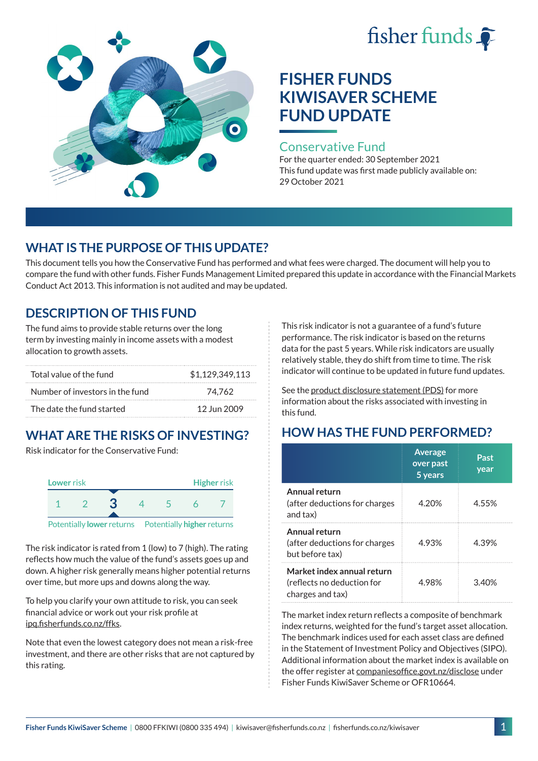# fisher funds  $\hat{\bullet}$



# **FISHER FUNDS KIWISAVER SCHEME FUND UPDATE**

#### Conservative Fund

For the quarter ended: 30 September 2021 This fund update was first made publicly available on: 29 October 2021

## **WHAT IS THE PURPOSE OF THIS UPDATE?**

This document tells you how the Conservative Fund has performed and what fees were charged. The document will help you to compare the fund with other funds. Fisher Funds Management Limited prepared this update in accordance with the Financial Markets Conduct Act 2013. This information is not audited and may be updated.

## **DESCRIPTION OF THIS FUND**

The fund aims to provide stable returns over the long term by investing mainly in income assets with a modest allocation to growth assets.

| Total value of the fund         | \$1.129.349.113 |
|---------------------------------|-----------------|
| Number of investors in the fund | 74.762          |
| The date the fund started       | 12 Jun 2009     |

## **WHAT ARE THE RISKS OF INVESTING?**

Risk indicator for the Conservative Fund:



The risk indicator is rated from 1 (low) to 7 (high). The rating reflects how much the value of the fund's assets goes up and down. A higher risk generally means higher potential returns over time, but more ups and downs along the way.

To help you clarify your own attitude to risk, you can seek financial advice or work out your risk profile at [ipq.fisherfunds.co.nz/ffks](https://ipq.fisherfunds.co.nz/ffks).

Note that even the lowest category does not mean a risk-free investment, and there are other risks that are not captured by this rating.

This risk indicator is not a guarantee of a fund's future performance. The risk indicator is based on the returns data for the past 5 years. While risk indicators are usually relatively stable, they do shift from time to time. The risk indicator will continue to be updated in future fund updates.

See the [product disclosure statement \(PDS\)](https://fisherfunds.co.nz/assets/PDS/Fisher-Funds-KiwiSaver-Scheme-PDS.pdf) for more information about the risks associated with investing in this fund.

## **HOW HAS THE FUND PERFORMED?**

|                                                                              | <b>Average</b><br>over past<br>5 years | Past<br>year |
|------------------------------------------------------------------------------|----------------------------------------|--------------|
| Annual return<br>(after deductions for charges<br>and tax)                   | 4.20%                                  | 4.55%        |
| Annual return<br>(after deductions for charges<br>but before tax)            | 4.93%                                  | 4.39%        |
| Market index annual return<br>(reflects no deduction for<br>charges and tax) | 4.98%                                  | 3.40%        |

The market index return reflects a composite of benchmark index returns, weighted for the fund's target asset allocation. The benchmark indices used for each asset class are defined in the Statement of Investment Policy and Objectives (SIPO). Additional information about the market index is available on the offer register at [companiesoffice.govt.nz/disclose](http://companiesoffice.govt.nz/disclose) under Fisher Funds KiwiSaver Scheme or OFR10664.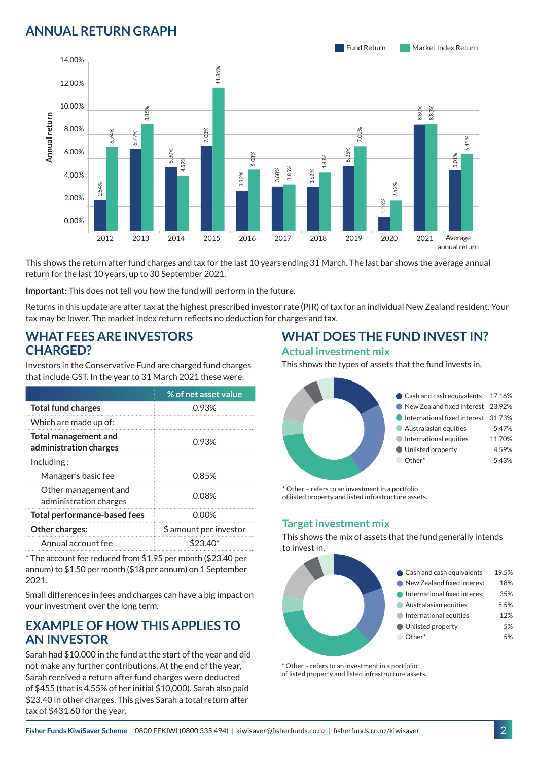## **ANNUAL RETURN GRAPH**



This shows the return after fund charges and tax for the last 10 years ending 31 March. The last bar shows the average annual return for the last 10 years, up to 30 September 2021.

**Important:** This does not tell you how the fund will perform in the future.

Returns in this update are after tax at the highest prescribed investor rate (PIR) of tax for an individual New Zealand resident. Your tax may be lower. The market index return reflects no deduction for charges and tax.

#### **WHAT FEES ARE INVESTORS CHARGED?**

| Annual return                                         | 8.00%<br>6.00%<br>4.00%<br>2.00% | 6.94%<br>2.54%                      | 8.8<br>6.77% | 5.30%<br>4.59%                                                                                                                      | .03%                   | 5.08%<br>3.32% |
|-------------------------------------------------------|----------------------------------|-------------------------------------|--------------|-------------------------------------------------------------------------------------------------------------------------------------|------------------------|----------------|
|                                                       | 0.00%                            |                                     |              |                                                                                                                                     |                        |                |
|                                                       |                                  | 2012                                | 2013         | 2014                                                                                                                                | 2015                   | 2016           |
|                                                       |                                  |                                     |              | This shows the return after fund charges and tax for the last 10<br>return for the last 10 years, up to 30 September 2021.          |                        |                |
|                                                       |                                  |                                     |              | Important: This does not tell you how the fund will perform in t                                                                    |                        |                |
|                                                       |                                  |                                     |              | Returns in this update are after tax at the highest prescribed in<br>tax may be lower. The market index return reflects no deductio |                        |                |
| <b>CHARGED?</b>                                       |                                  |                                     |              | <b>WHAT FEES ARE INVESTORS</b>                                                                                                      |                        |                |
|                                                       |                                  |                                     |              | Investors in the Conservative Fund are charged fund charges<br>that include GST. In the year to 31 March 2021 these were:           |                        |                |
|                                                       |                                  |                                     |              |                                                                                                                                     | % of net asset value   |                |
|                                                       | <b>Total fund charges</b>        |                                     |              |                                                                                                                                     | 0.93%                  |                |
|                                                       | Which are made up of:            |                                     |              |                                                                                                                                     |                        |                |
| <b>Total management and</b><br>administration charges |                                  |                                     | 0.93%        |                                                                                                                                     |                        |                |
| Including:                                            |                                  |                                     |              |                                                                                                                                     |                        |                |
|                                                       | Manager's basic fee              |                                     |              | 0.85%                                                                                                                               |                        |                |
| Other management and<br>administration charges        |                                  | 0.08%                               |              |                                                                                                                                     |                        |                |
|                                                       |                                  | Total performance-based fees        |              |                                                                                                                                     | 0.00%                  |                |
|                                                       | Other charges:                   |                                     |              |                                                                                                                                     | \$ amount per investor |                |
| Annual account fee                                    |                                  |                                     | $$23.40*$    |                                                                                                                                     |                        |                |
| 2021.                                                 |                                  |                                     |              | * The account fee reduced from \$1.95 per month (\$23.40 per<br>annum) to \$1.50 per month (\$18 per annum) on 1 September          |                        |                |
|                                                       |                                  | your investment over the long term. |              | Small differences in fees and charges can have a big impact on                                                                      |                        |                |

#### **EXAMPLE OF HOW THIS APPLIES TO AN INVESTOR**

Sarah had \$10,000 in the fund at the start of the year and did not make any further contributions. At the end of the year, Sarah received a return after fund charges were deducted of \$455 (that is 4.55% of her initial \$10,000). Sarah also paid \$23.40 in other charges. This gives Sarah a total return after tax of \$431.60 for the year.

#### **WHAT DOES THE FUND INVEST IN? Actual investment mix**

This shows the types of assets that the fund invests in.



\* Other – refers to an investment in a portfolio of listed property and listed infrastructure assets.

#### **Target investment mix**

This shows the mix of assets that the fund generally intends to invest in.



\* Other – refers to an investment in a portfolio of listed property and listed infrastructure assets.